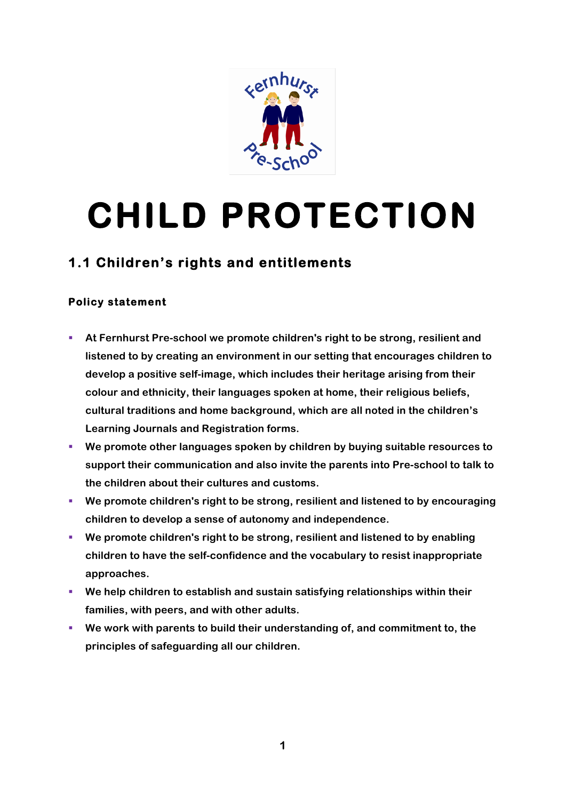

## **CHILD PROTECTION**

## **1.1 Children's rights and entitlements**

## **Policy statement**

- § **At Fernhurst Pre-school we promote children's right to be strong, resilient and listened to by creating an environment in our setting that encourages children to develop a positive self-image, which includes their heritage arising from their colour and ethnicity, their languages spoken at home, their religious beliefs, cultural traditions and home background, which are all noted in the children's Learning Journals and Registration forms.**
- We promote other languages spoken by children by buying suitable resources to **support their communication and also invite the parents into Pre-school to talk to the children about their cultures and customs.**
- § **We promote children's right to be strong, resilient and listened to by encouraging children to develop a sense of autonomy and independence.**
- § **We promote children's right to be strong, resilient and listened to by enabling children to have the self-confidence and the vocabulary to resist inappropriate approaches.**
- We help children to establish and sustain satisfying relationships within their **families, with peers, and with other adults.**
- § **We work with parents to build their understanding of, and commitment to, the principles of safeguarding all our children.**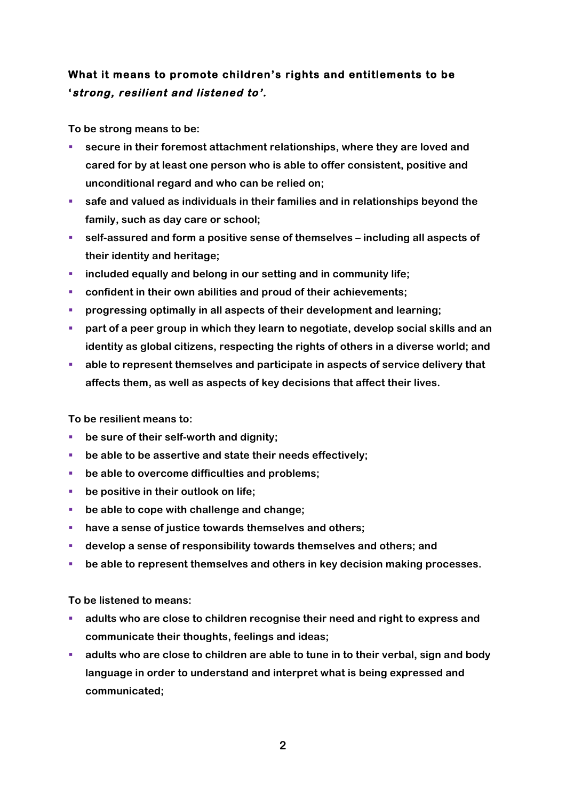## **What it means to promote children's rights and entitlements to be 'strong, resilient and listened to'.**

**To be strong means to be:**

- § **secure in their foremost attachment relationships, where they are loved and cared for by at least one person who is able to offer consistent, positive and unconditional regard and who can be relied on;**
- safe and valued as individuals in their families and in relationships beyond the **family, such as day care or school;**
- self-assured and form a positive sense of themselves including all aspects of **their identity and heritage;**
- § **included equally and belong in our setting and in community life;**
- confident in their own abilities and proud of their achievements;
- § **progressing optimally in all aspects of their development and learning;**
- § **part of a peer group in which they learn to negotiate, develop social skills and an identity as global citizens, respecting the rights of others in a diverse world; and**
- able to represent themselves and participate in aspects of service delivery that **affects them, as well as aspects of key decisions that affect their lives.**

**To be resilient means to:**

- be sure of their self-worth and dignity;
- be able to be assertive and state their needs effectively;
- be able to overcome difficulties and problems;
- be positive in their outlook on life;
- be able to cope with challenge and change;
- have a sense of justice towards themselves and others;
- § **develop a sense of responsibility towards themselves and others; and**
- be able to represent themselves and others in key decision making processes.

**To be listened to means:**

- § **adults who are close to children recognise their need and right to express and communicate their thoughts, feelings and ideas;**
- § **adults who are close to children are able to tune in to their verbal, sign and body language in order to understand and interpret what is being expressed and communicated;**